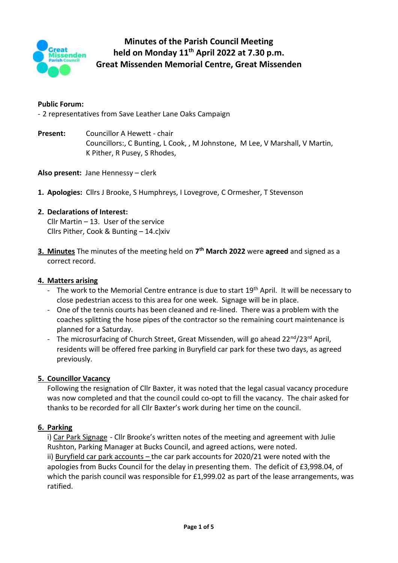

#### **Public Forum:**

- 2 representatives from Save Leather Lane Oaks Campaign

**Present:** Councillor A Hewett - chair Councillors:, C Bunting, L Cook, , M Johnstone, M Lee, V Marshall, V Martin, K Pither, R Pusey, S Rhodes,

**Also present:** Jane Hennessy – clerk

**1. Apologies:** Cllrs J Brooke, S Humphreys, I Lovegrove, C Ormesher, T Stevenson

## **2. Declarations of Interest:**

Cllr Martin  $-13$ . User of the service Cllrs Pither, Cook & Bunting – 14.c)xiv

**3. Minutes** The minutes of the meeting held on **7 th March 2022** were **agreed** and signed as a correct record.

### **4. Matters arising**

- The work to the Memorial Centre entrance is due to start  $19<sup>th</sup>$  April. It will be necessary to close pedestrian access to this area for one week. Signage will be in place.
- One of the tennis courts has been cleaned and re-lined. There was a problem with the coaches splitting the hose pipes of the contractor so the remaining court maintenance is planned for a Saturday.
- The microsurfacing of Church Street, Great Missenden, will go ahead 22<sup>nd</sup>/23<sup>rd</sup> April, residents will be offered free parking in Buryfield car park for these two days, as agreed previously.

## **5. Councillor Vacancy**

Following the resignation of Cllr Baxter, it was noted that the legal casual vacancy procedure was now completed and that the council could co-opt to fill the vacancy. The chair asked for thanks to be recorded for all Cllr Baxter's work during her time on the council.

## **6. Parking**

i) Car Park Signage - Cllr Brooke's written notes of the meeting and agreement with Julie Rushton, Parking Manager at Bucks Council, and agreed actions, were noted. ii) Buryfield car park accounts – the car park accounts for 2020/21 were noted with the apologies from Bucks Council for the delay in presenting them. The deficit of £3,998.04, of which the parish council was responsible for £1,999.02 as part of the lease arrangements, was ratified.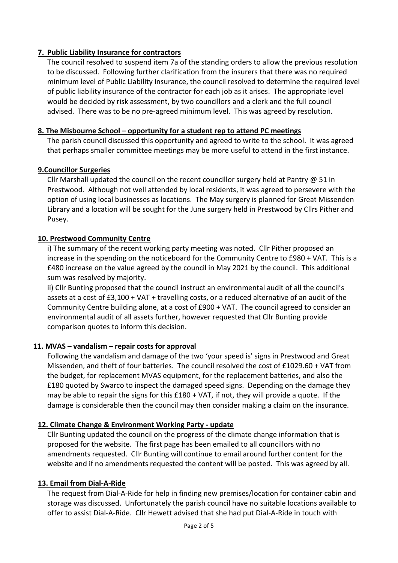#### **7. Public Liability Insurance for contractors**

The council resolved to suspend item 7a of the standing orders to allow the previous resolution to be discussed. Following further clarification from the insurers that there was no required minimum level of Public Liability Insurance, the council resolved to determine the required level of public liability insurance of the contractor for each job as it arises. The appropriate level would be decided by risk assessment, by two councillors and a clerk and the full council advised. There was to be no pre-agreed minimum level. This was agreed by resolution.

## **8. The Misbourne School – opportunity for a student rep to attend PC meetings**

The parish council discussed this opportunity and agreed to write to the school. It was agreed that perhaps smaller committee meetings may be more useful to attend in the first instance.

## **9.Councillor Surgeries**

Cllr Marshall updated the council on the recent councillor surgery held at Pantry @ 51 in Prestwood. Although not well attended by local residents, it was agreed to persevere with the option of using local businesses as locations. The May surgery is planned for Great Missenden Library and a location will be sought for the June surgery held in Prestwood by Cllrs Pither and Pusey.

## **10. Prestwood Community Centre**

i) The summary of the recent working party meeting was noted. Cllr Pither proposed an increase in the spending on the noticeboard for the Community Centre to £980 + VAT. This is a £480 increase on the value agreed by the council in May 2021 by the council. This additional sum was resolved by majority.

ii) Cllr Bunting proposed that the council instruct an environmental audit of all the council's assets at a cost of £3,100 + VAT + travelling costs, or a reduced alternative of an audit of the Community Centre building alone, at a cost of £900 + VAT. The council agreed to consider an environmental audit of all assets further, however requested that Cllr Bunting provide comparison quotes to inform this decision.

#### **11. MVAS – vandalism – repair costs for approval**

Following the vandalism and damage of the two 'your speed is' signs in Prestwood and Great Missenden, and theft of four batteries. The council resolved the cost of £1029.60 + VAT from the budget, for replacement MVAS equipment, for the replacement batteries, and also the £180 quoted by Swarco to inspect the damaged speed signs. Depending on the damage they may be able to repair the signs for this £180 + VAT, if not, they will provide a quote. If the damage is considerable then the council may then consider making a claim on the insurance.

## **12. Climate Change & Environment Working Party - update**

Cllr Bunting updated the council on the progress of the climate change information that is proposed for the website. The first page has been emailed to all councillors with no amendments requested. Cllr Bunting will continue to email around further content for the website and if no amendments requested the content will be posted. This was agreed by all.

## **13. Email from Dial-A-Ride**

The request from Dial-A-Ride for help in finding new premises/location for container cabin and storage was discussed. Unfortunately the parish council have no suitable locations available to offer to assist Dial-A-Ride. Cllr Hewett advised that she had put Dial-A-Ride in touch with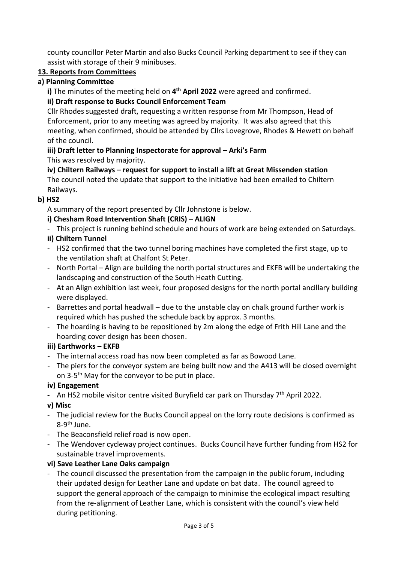county councillor Peter Martin and also Bucks Council Parking department to see if they can assist with storage of their 9 minibuses.

# **13. Reports from Committees**

# **a) Planning Committee**

**i)** The minutes of the meeting held on **4 th April 2022** were agreed and confirmed.

# **ii) Draft response to Bucks Council Enforcement Team**

Cllr Rhodes suggested draft, requesting a written response from Mr Thompson, Head of Enforcement, prior to any meeting was agreed by majority. It was also agreed that this meeting, when confirmed, should be attended by Cllrs Lovegrove, Rhodes & Hewett on behalf of the council.

## **iii) Draft letter to Planning Inspectorate for approval – Arki's Farm** This was resolved by majority.

**iv) Chiltern Railways – request for support to install a lift at Great Missenden station** The council noted the update that support to the initiative had been emailed to Chiltern Railways.

# **b) HS2**

A summary of the report presented by Cllr Johnstone is below.

# **i) Chesham Road Intervention Shaft (CRIS) – ALIGN**

- This project is running behind schedule and hours of work are being extended on Saturdays.

# **ii) Chiltern Tunnel**

- HS2 confirmed that the two tunnel boring machines have completed the first stage, up to the ventilation shaft at Chalfont St Peter.
- North Portal Align are building the north portal structures and EKFB will be undertaking the landscaping and construction of the South Heath Cutting.
- At an Align exhibition last week, four proposed designs for the north portal ancillary building were displayed.
- Barrettes and portal headwall due to the unstable clay on chalk ground further work is required which has pushed the schedule back by approx. 3 months.
- The hoarding is having to be repositioned by 2m along the edge of Frith Hill Lane and the hoarding cover design has been chosen.

## **iii) Earthworks – EKFB**

- The internal access road has now been completed as far as Bowood Lane.
- The piers for the conveyor system are being built now and the A413 will be closed overnight on 3-5<sup>th</sup> May for the conveyor to be put in place.

## **iv) Engagement**

**-** An HS2 mobile visitor centre visited Buryfield car park on Thursday 7th April 2022.

## **v) Misc**

- The judicial review for the Bucks Council appeal on the lorry route decisions is confirmed as 8-9<sup>th</sup> June.
- The Beaconsfield relief road is now open.
- The Wendover cycleway project continues. Bucks Council have further funding from HS2 for sustainable travel improvements.

# **vi) Save Leather Lane Oaks campaign**

The council discussed the presentation from the campaign in the public forum, including their updated design for Leather Lane and update on bat data. The council agreed to support the general approach of the campaign to minimise the ecological impact resulting from the re-alignment of Leather Lane, which is consistent with the council's view held during petitioning.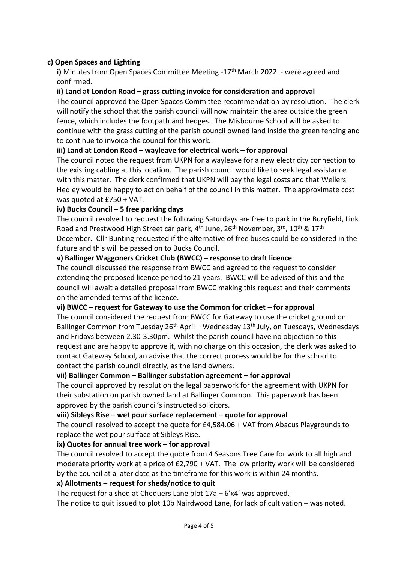## **c) Open Spaces and Lighting**

**i)** Minutes from Open Spaces Committee Meeting -17<sup>th</sup> March 2022 - were agreed and confirmed.

## **ii) Land at London Road – grass cutting invoice for consideration and approval**

The council approved the Open Spaces Committee recommendation by resolution. The clerk will notify the school that the parish council will now maintain the area outside the green fence, which includes the footpath and hedges. The Misbourne School will be asked to continue with the grass cutting of the parish council owned land inside the green fencing and to continue to invoice the council for this work.

## **iii) Land at London Road – wayleave for electrical work – for approval**

The council noted the request from UKPN for a wayleave for a new electricity connection to the existing cabling at this location. The parish council would like to seek legal assistance with this matter. The clerk confirmed that UKPN will pay the legal costs and that Wellers Hedley would be happy to act on behalf of the council in this matter. The approximate cost was quoted at £750 + VAT.

## **iv) Bucks Council – 5 free parking days**

The council resolved to request the following Saturdays are free to park in the Buryfield, Link Road and Prestwood High Street car park, 4<sup>th</sup> June, 26<sup>th</sup> November, 3<sup>rd</sup>, 10<sup>th</sup> & 17<sup>th</sup> December. Cllr Bunting requested if the alternative of free buses could be considered in the future and this will be passed on to Bucks Council.

#### **v) Ballinger Waggoners Cricket Club (BWCC) – response to draft licence**

The council discussed the response from BWCC and agreed to the request to consider extending the proposed licence period to 21 years. BWCC will be advised of this and the council will await a detailed proposal from BWCC making this request and their comments on the amended terms of the licence.

#### **vi) BWCC – request for Gateway to use the Common for cricket – for approval**

The council considered the request from BWCC for Gateway to use the cricket ground on Ballinger Common from Tuesday 26<sup>th</sup> April – Wednesday 13<sup>th</sup> July, on Tuesdays, Wednesdays and Fridays between 2.30-3.30pm. Whilst the parish council have no objection to this request and are happy to approve it, with no charge on this occasion, the clerk was asked to contact Gateway School, an advise that the correct process would be for the school to contact the parish council directly, as the land owners.

#### **vii) Ballinger Common – Ballinger substation agreement – for approval**

The council approved by resolution the legal paperwork for the agreement with UKPN for their substation on parish owned land at Ballinger Common. This paperwork has been approved by the parish council's instructed solicitors.

## **viii) Sibleys Rise – wet pour surface replacement – quote for approval**

The council resolved to accept the quote for £4,584.06 + VAT from Abacus Playgrounds to replace the wet pour surface at Sibleys Rise.

## **ix) Quotes for annual tree work – for approval**

The council resolved to accept the quote from 4 Seasons Tree Care for work to all high and moderate priority work at a price of £2,790 + VAT. The low priority work will be considered by the council at a later date as the timeframe for this work is within 24 months.

#### **x) Allotments – request for sheds/notice to quit**

The request for a shed at Chequers Lane plot  $17a - 6'x4'$  was approved.

The notice to quit issued to plot 10b Nairdwood Lane, for lack of cultivation – was noted.